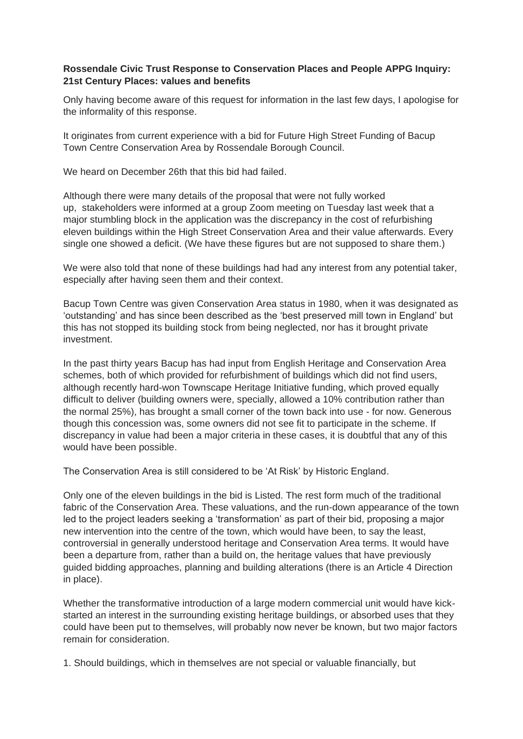## **Rossendale Civic Trust Response to Conservation Places and People APPG Inquiry: 21st Century Places: values and benefits**

Only having become aware of this request for information in the last few days, I apologise for the informality of this response.

It originates from current experience with a bid for Future High Street Funding of Bacup Town Centre Conservation Area by Rossendale Borough Council.

We heard on December 26th that this bid had failed.

Although there were many details of the proposal that were not fully worked up, stakeholders were informed at a group Zoom meeting on Tuesday last week that a major stumbling block in the application was the discrepancy in the cost of refurbishing eleven buildings within the High Street Conservation Area and their value afterwards. Every single one showed a deficit. (We have these figures but are not supposed to share them.)

We were also told that none of these buildings had had any interest from any potential taker, especially after having seen them and their context.

Bacup Town Centre was given Conservation Area status in 1980, when it was designated as 'outstanding' and has since been described as the 'best preserved mill town in England' but this has not stopped its building stock from being neglected, nor has it brought private investment.

In the past thirty years Bacup has had input from English Heritage and Conservation Area schemes, both of which provided for refurbishment of buildings which did not find users, although recently hard-won Townscape Heritage Initiative funding, which proved equally difficult to deliver (building owners were, specially, allowed a 10% contribution rather than the normal 25%), has brought a small corner of the town back into use - for now. Generous though this concession was, some owners did not see fit to participate in the scheme. If discrepancy in value had been a major criteria in these cases, it is doubtful that any of this would have been possible.

The Conservation Area is still considered to be 'At Risk' by Historic England.

Only one of the eleven buildings in the bid is Listed. The rest form much of the traditional fabric of the Conservation Area. These valuations, and the run-down appearance of the town led to the project leaders seeking a 'transformation' as part of their bid, proposing a major new intervention into the centre of the town, which would have been, to say the least, controversial in generally understood heritage and Conservation Area terms. It would have been a departure from, rather than a build on, the heritage values that have previously guided bidding approaches, planning and building alterations (there is an Article 4 Direction in place).

Whether the transformative introduction of a large modern commercial unit would have kickstarted an interest in the surrounding existing heritage buildings, or absorbed uses that they could have been put to themselves, will probably now never be known, but two major factors remain for consideration.

1. Should buildings, which in themselves are not special or valuable financially, but